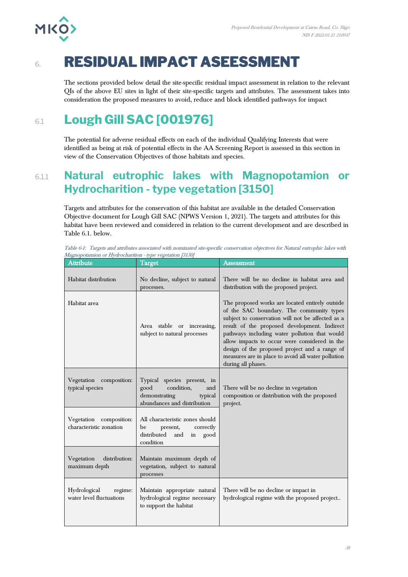

# 6. **RESIDUAL IMPACT ASEESSMENT**

The sections provided below detail the site-specific residual impact assessment in relation to the relevant QIs of the above EU sites in light of their site-specific targets and attributes. The assessment takes into consideration the proposed measures to avoid, reduce and block identified pathways for impact

# 6.1 **Lough Gill SAC [001976]**

The potential for adverse residual effects on each of the individual Qualifying Interests that were identified as being at risk of potential effects in the AA Screening Report is assessed in this section in view of the Conservation Objectives of those habitats and species.

## 6.1.1 **Natural eutrophic lakes with Magnopotamion or Hydrocharition - type vegetation [3150]**

Targets and attributes for the conservation of this habitat are available in the detailed Conservation Objective document for Lough Gill SAC (NPWS Version 1, 2021). The targets and attributes for this habitat have been reviewed and considered in relation to the current development and are described in Table 6.1. below.

| Table 6-1: Targets and attributes associated with nominated site-specific conservation objectives for Natural eutrophic lakes with |  |  |  |
|------------------------------------------------------------------------------------------------------------------------------------|--|--|--|
| Magnopotamion or Hydrocharition - type vegetation [3150]                                                                           |  |  |  |

| Attribute                                           | Target                                                                                                              | Assessment                                                                                                                                                                                                                                                                                                                                                                                                                      |
|-----------------------------------------------------|---------------------------------------------------------------------------------------------------------------------|---------------------------------------------------------------------------------------------------------------------------------------------------------------------------------------------------------------------------------------------------------------------------------------------------------------------------------------------------------------------------------------------------------------------------------|
| Habitat distribution                                | No decline, subject to natural<br>processes.                                                                        | There will be no decline in habitat area and<br>distribution with the proposed project.                                                                                                                                                                                                                                                                                                                                         |
| Habitat area                                        | Area stable or increasing,<br>subject to natural processes                                                          | The proposed works are located entirely outside<br>of the SAC boundary. The community types<br>subject to conservation will not be affected as a<br>result of the proposed development. Indirect<br>pathways including water pollution that would<br>allow impacts to occur were considered in the<br>design of the proposed project and a range of<br>measures are in place to avoid all water pollution<br>during all phases. |
| Vegetation<br>composition:<br>typical species       | Typical species present, in<br>condition,<br>good<br>and<br>demonstrating<br>typical<br>abundances and distribution | There will be no decline in vegetation<br>composition or distribution with the proposed<br>project.                                                                                                                                                                                                                                                                                                                             |
| Vegetation composition:<br>characteristic zonation  | All characteristic zones should<br>be<br>present,<br>correctly<br>distributed<br>and<br>good<br>in<br>condition     |                                                                                                                                                                                                                                                                                                                                                                                                                                 |
| Vegetation<br>distribution:<br>maximum depth        | Maintain maximum depth of<br>vegetation, subject to natural<br>processes                                            |                                                                                                                                                                                                                                                                                                                                                                                                                                 |
| Hydrological<br>regime:<br>water level fluctuations | Maintain appropriate natural<br>hydrological regime necessary<br>to support the habitat                             | There will be no decline or impact in<br>hydrological regime with the proposed project                                                                                                                                                                                                                                                                                                                                          |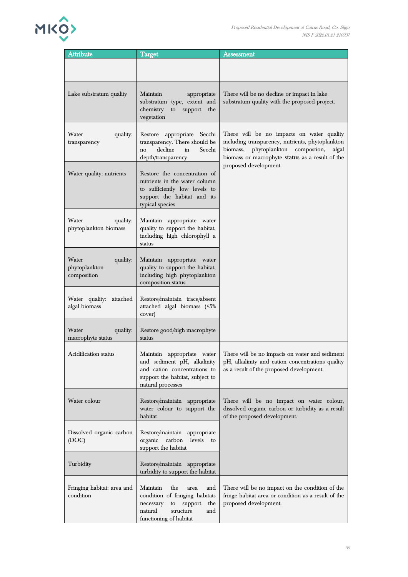

| <b>Attribute</b>                                  | <b>Target</b>                                                                                                                                                  | <b>Assessment</b>                                                                                                                                                                                  |
|---------------------------------------------------|----------------------------------------------------------------------------------------------------------------------------------------------------------------|----------------------------------------------------------------------------------------------------------------------------------------------------------------------------------------------------|
|                                                   |                                                                                                                                                                |                                                                                                                                                                                                    |
|                                                   |                                                                                                                                                                |                                                                                                                                                                                                    |
| Lake substratum quality                           | Maintain<br>appropriate<br>substratum type, extent and<br>chemistry<br>to<br>support the<br>vegetation                                                         | There will be no decline or impact in lake<br>substratum quality with the proposed project.                                                                                                        |
| Water<br>quality:<br>transparency                 | Restore<br>appropriate<br>Secchi<br>transparency. There should be<br>decline<br>Secchi<br>in<br>no<br>depth/transparency                                       | There will be no impacts on water quality<br>including transparency, nutrients, phytoplankton<br>phytoplankton compostion,<br>biomass,<br>algal<br>biomass or macrophyte status as a result of the |
| Water quality: nutrients                          | Restore the concentration of<br>nutrients in the water column<br>to sufficiently low levels to<br>support the habitat and its<br>typical species               | proposed development.                                                                                                                                                                              |
| Water<br>quality:<br>phytoplankton biomass        | Maintain appropriate water<br>quality to support the habitat,<br>including high chlorophyll a<br>status                                                        |                                                                                                                                                                                                    |
| Water<br>quality:<br>phytoplankton<br>composition | appropriate water<br>Maintain<br>quality to support the habitat,<br>including high phytoplankton<br>composition status                                         |                                                                                                                                                                                                    |
| Water quality: attached<br>algal biomass          | Restore/maintain trace/absent<br>attached algal biomass (<5%<br>cover)                                                                                         |                                                                                                                                                                                                    |
| Water<br>quality:<br>macrophyte status            | Restore good/high macrophyte<br>status                                                                                                                         |                                                                                                                                                                                                    |
| Acidification status                              | Maintain appropriate water<br>and sediment pH, alkalinity<br>and cation concentrations to<br>support the habitat, subject to<br>natural processes              | There will be no impacts on water and sediment<br>pH, alkalinity and cation concentrations quality<br>as a result of the proposed development.                                                     |
| Water colour                                      | Restore/maintain appropriate<br>water colour to support the<br>habitat                                                                                         | There will be no impact on water colour,<br>dissolved organic carbon or turbidity as a result<br>of the proposed development.                                                                      |
| Dissolved organic carbon<br>(DOC)                 | Restore/maintain appropriate<br>organic carbon<br>levels<br>to<br>support the habitat                                                                          |                                                                                                                                                                                                    |
| Turbidity                                         | Restore/maintain appropriate<br>turbidity to support the habitat                                                                                               |                                                                                                                                                                                                    |
| Fringing habitat: area and<br>condition           | Maintain<br>the<br>area<br>and<br>condition of fringing habitats<br>necessary<br>support<br>the<br>to<br>structure<br>natural<br>and<br>functioning of habitat | There will be no impact on the condition of the<br>fringe habitat area or condition as a result of the<br>proposed development.                                                                    |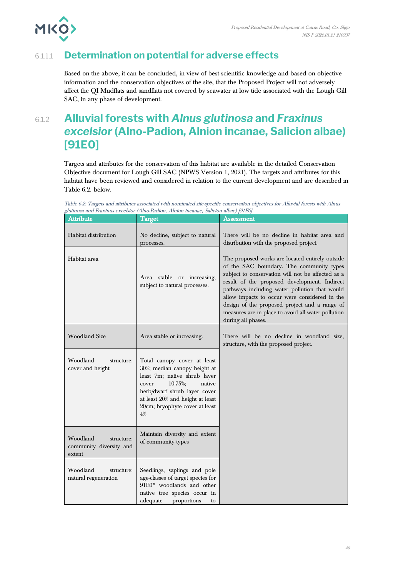



### 6.1.1.1 **Determination on potential for adverse effects**

Based on the above, it can be concluded, in view of best scientific knowledge and based on objective information and the conservation objectives of the site, that the Proposed Project will not adversely affect the QI Mudflats and sandflats not covered by seawater at low tide associated with the Lough Gill SAC, in any phase of development.

# 6.1.2 **Alluvial forests with** *Alnus glutinosa* **and** *Fraxinus excelsior* **(Alno-Padion, Alnion incanae, Salicion albae) [91E0]**

Targets and attributes for the conservation of this habitat are available in the detailed Conservation Objective document for Lough Gill SAC (NPWS Version 1, 2021). The targets and attributes for this habitat have been reviewed and considered in relation to the current development and are described in Table 6.2. below.

Table 6-2: Targets and attributes associated with nominated site-specific conservation objectives for Alluvial forests with Alnus glutinosa and Fraxinus excelsior (Alno-Padion, Alnion incanae, Salicion albae) [91E0]

| Attribute                                                   | Target                                                                                                                                                                                                                                | Assessment                                                                                                                                                                                                                                                                                                                                                                                                                      |
|-------------------------------------------------------------|---------------------------------------------------------------------------------------------------------------------------------------------------------------------------------------------------------------------------------------|---------------------------------------------------------------------------------------------------------------------------------------------------------------------------------------------------------------------------------------------------------------------------------------------------------------------------------------------------------------------------------------------------------------------------------|
| Habitat distribution                                        | No decline, subject to natural<br>processes.                                                                                                                                                                                          | There will be no decline in habitat area and<br>distribution with the proposed project.                                                                                                                                                                                                                                                                                                                                         |
| Habitat area                                                | Area stable or increasing,<br>subject to natural processes.                                                                                                                                                                           | The proposed works are located entirely outside<br>of the SAC boundary. The community types<br>subject to conservation will not be affected as a<br>result of the proposed development. Indirect<br>pathways including water pollution that would<br>allow impacts to occur were considered in the<br>design of the proposed project and a range of<br>measures are in place to avoid all water pollution<br>during all phases. |
| <b>Woodland Size</b>                                        | Area stable or increasing.                                                                                                                                                                                                            | There will be no decline in woodland size,<br>structure, with the proposed project.                                                                                                                                                                                                                                                                                                                                             |
| Woodland<br>structure:<br>cover and height                  | Total canopy cover at least<br>30%; median canopy height at<br>least 7m; native shrub layer<br>10-75%;<br>native<br>cover<br>herb/dwarf shrub layer cover<br>at least 20% and height at least<br>20cm; bryophyte cover at least<br>4% |                                                                                                                                                                                                                                                                                                                                                                                                                                 |
| Woodland<br>structure:<br>community diversity and<br>extent | Maintain diversity and extent<br>of community types                                                                                                                                                                                   |                                                                                                                                                                                                                                                                                                                                                                                                                                 |
| Woodland<br>structure:<br>natural regeneration              | Seedlings, saplings and pole<br>age-classes of target species for<br>91E0* woodlands and other<br>native tree species occur in<br>adequate<br>proportions<br>to                                                                       |                                                                                                                                                                                                                                                                                                                                                                                                                                 |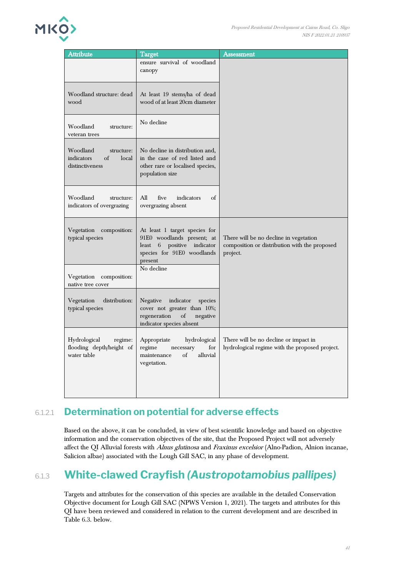

| Attribute                                                              | <b>Target</b>                                                                                                                         | Assessment                                                                                          |
|------------------------------------------------------------------------|---------------------------------------------------------------------------------------------------------------------------------------|-----------------------------------------------------------------------------------------------------|
|                                                                        | ensure survival of woodland<br>canopy                                                                                                 |                                                                                                     |
| Woodland structure: dead<br>wood                                       | At least 19 stems/ha of dead<br>wood of at least 20cm diameter                                                                        |                                                                                                     |
| Woodland<br>structure:<br>veteran trees                                | No decline                                                                                                                            |                                                                                                     |
| Woodland<br>structure:<br>indicators<br>of<br>local<br>distinctiveness | No decline in distribution and,<br>in the case of red listed and<br>other rare or localised species,<br>population size               |                                                                                                     |
| Woodland<br>structure:<br>indicators of overgrazing                    | All<br>five<br>indicators<br>of<br>overgrazing absent                                                                                 |                                                                                                     |
| Vegetation composition:<br>typical species                             | At least 1 target species for<br>91E0 woodlands present; at<br>6 positive indicator<br>least<br>species for 91E0 woodlands<br>present | There will be no decline in vegetation<br>composition or distribution with the proposed<br>project. |
| Vegetation composition:<br>native tree cover                           | No decline                                                                                                                            |                                                                                                     |
| distribution:<br>Vegetation<br>typical species                         | indicator<br>Negative<br>species<br>cover not greater than 10%;<br>regeneration<br>of<br>negative<br>indicator species absent         |                                                                                                     |
| Hydrological<br>regime:<br>flooding depth/height of<br>water table     | Appropriate<br>hydrological<br>regime<br>for<br>necessary<br>maintenance<br>alluvial<br>of<br>vegetation.                             | There will be no decline or impact in<br>hydrological regime with the proposed project.             |

## 6.1.2.1 **Determination on potential for adverse effects**

Based on the above, it can be concluded, in view of best scientific knowledge and based on objective information and the conservation objectives of the site, that the Proposed Project will not adversely affect the QI Alluvial forests with Alnus glutinosa and Fraxinus excelsior (Alno-Padion, Alnion incanae, Salicion albae) associated with the Lough Gill SAC, in any phase of development.

# 6.1.3 **White-clawed Crayfish** *(Austropotamobius pallipes)*

Targets and attributes for the conservation of this species are available in the detailed Conservation Objective document for Lough Gill SAC (NPWS Version 1, 2021). The targets and attributes for this QI have been reviewed and considered in relation to the current development and are described in Table 6.3. below.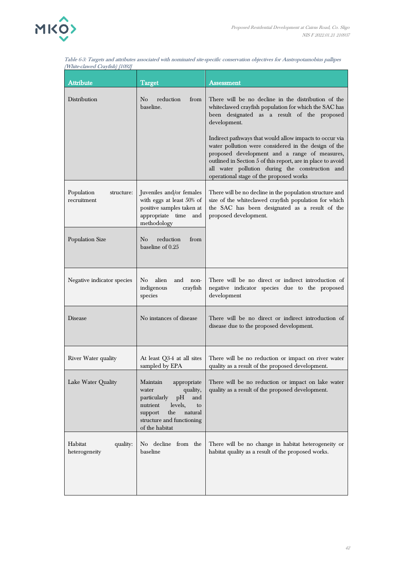

| <i>White-clawed Crayfish) [1092]</i>    |                                                                                                                                                                                    |                                                                                                                                                                                                                                                                                                                               |
|-----------------------------------------|------------------------------------------------------------------------------------------------------------------------------------------------------------------------------------|-------------------------------------------------------------------------------------------------------------------------------------------------------------------------------------------------------------------------------------------------------------------------------------------------------------------------------|
| <b>Attribute</b>                        | <b>Target</b>                                                                                                                                                                      | Assessment                                                                                                                                                                                                                                                                                                                    |
| Distribution                            | $\rm No$<br>reduction<br>from<br>baseline.                                                                                                                                         | There will be no decline in the distribution of the<br>whiteclawed crayfish population for which the SAC has<br>been designated as a result of the proposed<br>development.                                                                                                                                                   |
|                                         |                                                                                                                                                                                    | Indirect pathways that would allow impacts to occur via<br>water pollution were considered in the design of the<br>proposed development and a range of measures,<br>outlined in Section 5 of this report, are in place to avoid<br>all water pollution during the construction and<br>operational stage of the proposed works |
| Population<br>structure:<br>recruitment | Juveniles and/or females<br>with eggs at least 50% of<br>positive samples taken at<br>appropriate time and<br>methodology                                                          | There will be no decline in the population structure and<br>size of the whiteclawed crayfish population for which<br>the SAC has been designated as a result of the<br>proposed development.                                                                                                                                  |
| Population Size                         | reduction<br>$\rm No$<br>from<br>baseline of 0.25                                                                                                                                  |                                                                                                                                                                                                                                                                                                                               |
| Negative indicator species              | alien<br>No<br>and<br>non-<br>indigenous<br>crayfish<br>species                                                                                                                    | There will be no direct or indirect introduction of<br>negative indicator species due to the proposed<br>development                                                                                                                                                                                                          |
| Disease                                 | No instances of disease                                                                                                                                                            | There will be no direct or indirect introduction of<br>disease due to the proposed development.                                                                                                                                                                                                                               |
| River Water quality                     | At least Q3-4 at all sites<br>sampled by EPA                                                                                                                                       | There will be no reduction or impact on river water<br>quality as a result of the proposed development.                                                                                                                                                                                                                       |
| Lake Water Quality                      | Maintain<br>appropriate<br>quality,<br>water<br>particularly<br>pH<br>and<br>levels,<br>nutrient<br>to<br>the<br>natural<br>support<br>structure and functioning<br>of the habitat | There will be no reduction or impact on lake water<br>quality as a result of the proposed development.                                                                                                                                                                                                                        |
| Habitat<br>quality:<br>heterogeneity    | No decline from the<br>baseline                                                                                                                                                    | There will be no change in habitat heterogeneity or<br>habitat quality as a result of the proposed works.                                                                                                                                                                                                                     |

Table 6-3: Targets and attributes associated with nominated site-specific conservation objectives for Austropotamobius pallipes (White-clawed Crayfish) [1092]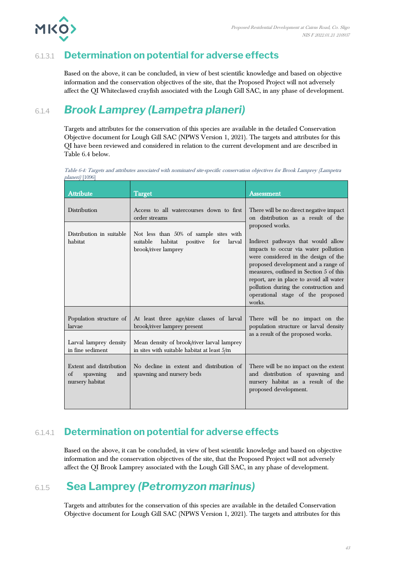

## 6.1.3.1 **Determination on potential for adverse effects**

Based on the above, it can be concluded, in view of best scientific knowledge and based on objective information and the conservation objectives of the site, that the Proposed Project will not adversely affect the QI Whiteclawed crayfish associated with the Lough Gill SAC, in any phase of development.

## 6.1.4 *Brook Lamprey (Lampetra planeri)*

Targets and attributes for the conservation of this species are available in the detailed Conservation Objective document for Lough Gill SAC (NPWS Version 1, 2021). The targets and attributes for this QI have been reviewed and considered in relation to the current development and are described in Table 6.4 below.

Table 6-4: Targets and attributes associated with nominated site-specific conservation objectives for Brook Lamprey (Lampetra planeri) [1096]

| <b>Attribute</b>                                                                | <b>Target</b>                                                                                                                                                         | Assessment                                                                                                                                                                                                                                                                                                                                                 |
|---------------------------------------------------------------------------------|-----------------------------------------------------------------------------------------------------------------------------------------------------------------------|------------------------------------------------------------------------------------------------------------------------------------------------------------------------------------------------------------------------------------------------------------------------------------------------------------------------------------------------------------|
| Distribution                                                                    | Access to all watercourses down to first<br>order streams                                                                                                             | There will be no direct negative impact<br>on distribution as a result of the                                                                                                                                                                                                                                                                              |
| Distribution in suitable<br>habitat                                             | Not less than 50% of sample sites with<br>suitable habitat<br>positive for<br>larval<br>brook/river lamprey                                                           | proposed works.<br>Indirect pathways that would allow<br>impacts to occur via water pollution<br>were considered in the design of the<br>proposed development and a range of<br>measures, outlined in Section 5 of this<br>report, are in place to avoid all water<br>pollution during the construction and<br>operational stage of the proposed<br>works. |
| Population structure of<br>larvae<br>Larval lamprey density<br>in fine sediment | At least three age/size classes of larval<br>brook/river lamprey present<br>Mean density of brook/river larval lamprey<br>in sites with suitable habitat at least 5/m | There will be no impact on the<br>population structure or larval density<br>as a result of the proposed works.                                                                                                                                                                                                                                             |
| Extent and distribution<br>$\alpha$ f<br>spawning<br>and<br>nursery habitat     | No decline in extent and distribution of<br>spawning and nursery beds                                                                                                 | There will be no impact on the extent<br>and distribution of spawning and<br>nursery habitat as a result of the<br>proposed development.                                                                                                                                                                                                                   |

### 6.1.4.1 **Determination on potential for adverse effects**

Based on the above, it can be concluded, in view of best scientific knowledge and based on objective information and the conservation objectives of the site, that the Proposed Project will not adversely affect the QI Brook Lamprey associated with the Lough Gill SAC, in any phase of development.

## 6.1.5 **Sea Lamprey** *(Petromyzon marinus)*

Targets and attributes for the conservation of this species are available in the detailed Conservation Objective document for Lough Gill SAC (NPWS Version 1, 2021). The targets and attributes for this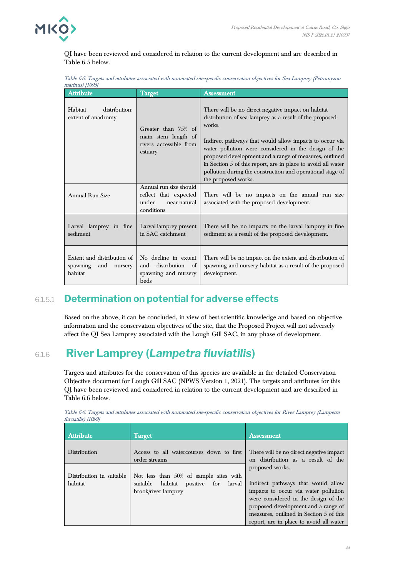

QI have been reviewed and considered in relation to the current development and are described in Table 6.5 below.

Table 6-5: Targets and attributes associated with nominated site-specific conservation objectives for Sea Lamprey (Petromyzon marinus) [1095]

| <b>Attribute</b>                                                    | <b>Target</b>                                                                          | Assessment                                                                                                                                                                                                                                                                                                                                                                                                                                                |
|---------------------------------------------------------------------|----------------------------------------------------------------------------------------|-----------------------------------------------------------------------------------------------------------------------------------------------------------------------------------------------------------------------------------------------------------------------------------------------------------------------------------------------------------------------------------------------------------------------------------------------------------|
| Habitat<br>distribution:<br>extent of anadromy                      | Greater than 75% of<br>main stem length of<br>rivers accessible from<br>estuary        | There will be no direct negative impact on habitat<br>distribution of sea lamprey as a result of the proposed<br>works.<br>Indirect pathways that would allow impacts to occur via<br>water pollution were considered in the design of the<br>proposed development and a range of measures, outlined<br>in Section 5 of this report, are in place to avoid all water<br>pollution during the construction and operational stage of<br>the proposed works. |
| Annual Run Size                                                     | Annual run size should<br>reflect that expected<br>under<br>near-natural<br>conditions | There will be no impacts on the annual run size<br>associated with the proposed development.                                                                                                                                                                                                                                                                                                                                                              |
| Larval lamprey in fine<br>sediment                                  | Larval lamprey present<br>in SAC catchment                                             | There will be no impacts on the larval lamprey in fine<br>sediment as a result of the proposed development.                                                                                                                                                                                                                                                                                                                                               |
| Extent and distribution of<br>spawning<br>and<br>nursery<br>habitat | No decline in extent<br>distribution<br>of<br>and<br>spawning and nursery<br>beds      | There will be no impact on the extent and distribution of<br>spawning and nursery habitat as a result of the proposed<br>development.                                                                                                                                                                                                                                                                                                                     |

### 6.1.5.1 **Determination on potential for adverse effects**

Based on the above, it can be concluded, in view of best scientific knowledge and based on objective information and the conservation objectives of the site, that the Proposed Project will not adversely affect the QI Sea Lamprey associated with the Lough Gill SAC, in any phase of development.

## 6.1.6 **River Lamprey (***Lampetra fluviatilis***)**

Targets and attributes for the conservation of this species are available in the detailed Conservation Objective document for Lough Gill SAC (NPWS Version 1, 2021). The targets and attributes for this QI have been reviewed and considered in relation to the current development and are described in Table 6.6 below.

| <b>Attribute</b>                    | Target                                                                                                         | Assessment                                                                                                                                                                                                                                                         |  |
|-------------------------------------|----------------------------------------------------------------------------------------------------------------|--------------------------------------------------------------------------------------------------------------------------------------------------------------------------------------------------------------------------------------------------------------------|--|
| Distribution                        | Access to all watercourses down to first<br>order streams                                                      | There will be no direct negative impact<br>on distribution as a result of the                                                                                                                                                                                      |  |
| Distribution in suitable<br>habitat | Not less than 50% of sample sites with<br>suitable habitat<br>larval<br>for<br>positive<br>brook/river lamprey | proposed works.<br>Indirect pathways that would allow<br>impacts to occur via water pollution<br>were considered in the design of the<br>proposed development and a range of<br>measures, outlined in Section 5 of this<br>report, are in place to avoid all water |  |

Table 6-6: Targets and attributes associated with nominated site-specific conservation objectives for River Lamprey (Lampetra fluviatilis) [1099]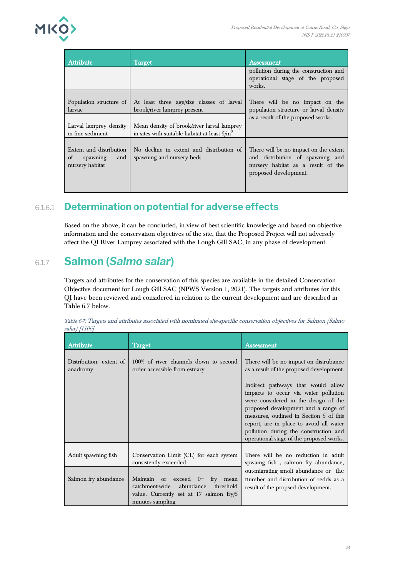

| <b>Attribute</b>                                                    | Target                                                                                        | <b>Assessment</b>                                                                                                                        |
|---------------------------------------------------------------------|-----------------------------------------------------------------------------------------------|------------------------------------------------------------------------------------------------------------------------------------------|
|                                                                     |                                                                                               | pollution during the construction and<br>operational stage of the proposed<br>works.                                                     |
| Population structure of<br>larvae                                   | At least three age/size classes of larval<br>brook/river lamprey present                      | There will be no impact on the<br>population structure or larval density                                                                 |
| Larval lamprey density<br>in fine sediment                          | Mean density of brook/river larval lamprey<br>in sites with suitable habitat at least $5/m^2$ | as a result of the proposed works.                                                                                                       |
| Extent and distribution<br>of<br>spawning<br>and<br>nursery habitat | No decline in extent and distribution of<br>spawning and nursery beds                         | There will be no impact on the extent<br>and distribution of spawning and<br>nursery habitat as a result of the<br>proposed development. |

## 6.1.6.1 **Determination on potential for adverse effects**

Based on the above, it can be concluded, in view of best scientific knowledge and based on objective information and the conservation objectives of the site, that the Proposed Project will not adversely affect the QI River Lamprey associated with the Lough Gill SAC, in any phase of development.

## 6.1.7 **Salmon (***Salmo salar***)**

Targets and attributes for the conservation of this species are available in the detailed Conservation Objective document for Lough Gill SAC (NPWS Version 1, 2021). The targets and attributes for this QI have been reviewed and considered in relation to the current development and are described in Table 6.7 below.

| <b>Attribute</b>                    | <b>Target</b>                                                                                                                          | Assessment                                                                                                                                                                                                                                                                                                                           |
|-------------------------------------|----------------------------------------------------------------------------------------------------------------------------------------|--------------------------------------------------------------------------------------------------------------------------------------------------------------------------------------------------------------------------------------------------------------------------------------------------------------------------------------|
| Distribution: extent of<br>anadromy | 100% of river channels down to second<br>order accessible from estuary                                                                 | There will be no impact on distrubance<br>as a result of the proposed development.                                                                                                                                                                                                                                                   |
|                                     |                                                                                                                                        | Indirect pathways that would allow<br>impacts to occur via water pollution<br>were considered in the design of the<br>proposed development and a range of<br>measures, outlined in Section 5 of this<br>report, are in place to avoid all water<br>pollution during the construction and<br>operational stage of the proposed works. |
| Adult spawning fish                 | Conservation Limit (CL) for each system<br>consistently exceeded                                                                       | There will be no reduction in adult<br>spwaing fish, salmon fry abundance,                                                                                                                                                                                                                                                           |
| Salmon fry abundance                | Maintain or exceed 0+ fry mean<br>catchment-wide abundance<br>threshold<br>value. Currently set at 17 salmon fry/5<br>minutes sampling | out-migrating smolt abundance or the<br>number and distribution of redds as a<br>result of the propsed development.                                                                                                                                                                                                                  |

Table 6-7: Targets and attributes associated with nominated site-specific conservation objectives for Salmon (Salmo salar) [1106]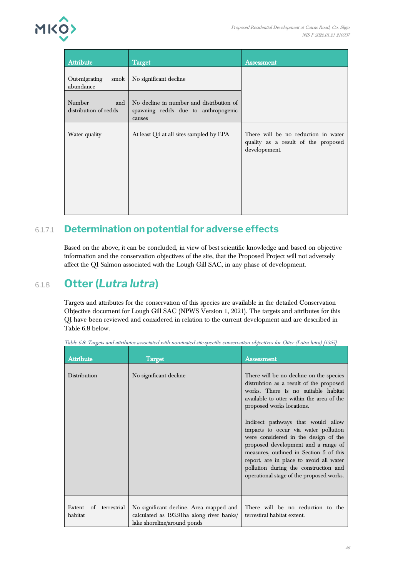

| <b>Attribute</b>                       | <b>Target</b>                                                                             | <b>Assessment</b>                                                                           |
|----------------------------------------|-------------------------------------------------------------------------------------------|---------------------------------------------------------------------------------------------|
| Out-migrating<br>smolt<br>abundance    | No significant decline                                                                    |                                                                                             |
| Number<br>and<br>distribution of redds | No decline in number and distribution of<br>spawning redds due to anthropogenic<br>causes |                                                                                             |
| Water quality                          | At least Q4 at all sites sampled by EPA                                                   | There will be no reduction in water<br>quality as a result of the proposed<br>developement. |

## 6.1.7.1 **Determination on potential for adverse effects**

Based on the above, it can be concluded, in view of best scientific knowledge and based on objective information and the conservation objectives of the site, that the Proposed Project will not adversely affect the QI Salmon associated with the Lough Gill SAC, in any phase of development.

## 6.1.8 **Otter (***Lutra lutra***)**

Targets and attributes for the conservation of this species are available in the detailed Conservation Objective document for Lough Gill SAC (NPWS Version 1, 2021). The targets and attributes for this QI have been reviewed and considered in relation to the current development and are described in Table 6.8 below.

| <b>Attribute</b>                       | <b>Target</b>                                                                                                       | <b>Assessment</b>                                                                                                                                                                                                                                                                                                                                                                                                                                                                                                                           |
|----------------------------------------|---------------------------------------------------------------------------------------------------------------------|---------------------------------------------------------------------------------------------------------------------------------------------------------------------------------------------------------------------------------------------------------------------------------------------------------------------------------------------------------------------------------------------------------------------------------------------------------------------------------------------------------------------------------------------|
| Distribution                           | No significant decline                                                                                              | There will be no decline on the species<br>distrubtion as a result of the proposed<br>works. There is no suitable habitat<br>available to otter within the area of the<br>proposed works locations.<br>Indirect pathways that would allow<br>impacts to occur via water pollution<br>were considered in the design of the<br>proposed development and a range of<br>measures, outlined in Section 5 of this<br>report, are in place to avoid all water<br>pollution during the construction and<br>operational stage of the proposed works. |
|                                        |                                                                                                                     |                                                                                                                                                                                                                                                                                                                                                                                                                                                                                                                                             |
| Extent<br>of<br>terrestrial<br>habitat | No significant decline. Area mapped and<br>calculated as 193.91ha along river banks/<br>lake shoreline/around ponds | There will be no reduction to the<br>terrestiral habitat extent.                                                                                                                                                                                                                                                                                                                                                                                                                                                                            |

Table 6-8: Targets and attributes associated with nominated site-specific conservation objectives for Otter (Lutra lutra) [1355]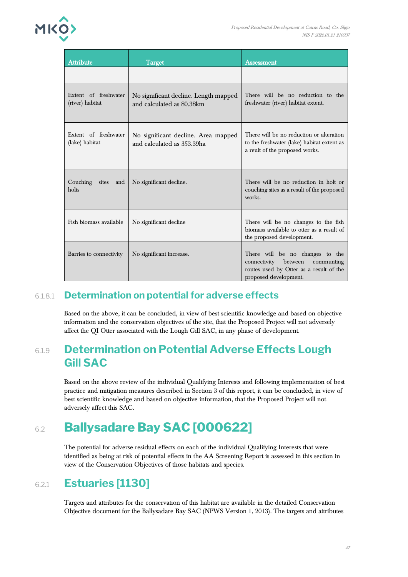

| <b>Attribute</b>                        | <b>Target</b>                                                      | <b>Assessment</b>                                                                                                                         |
|-----------------------------------------|--------------------------------------------------------------------|-------------------------------------------------------------------------------------------------------------------------------------------|
|                                         |                                                                    |                                                                                                                                           |
| Extent of freshwater<br>(river) habitat | No significant decline. Length mapped<br>and calculated as 80.38km | There will be no reduction to the<br>freshwater (river) habitat extent.                                                                   |
| Extent of freshwater<br>(lake) habitat  | No significant decline. Area mapped<br>and calculated as 353.39ha  | There will be no reduction or alteration<br>to the freshwater (lake) habitat extent as<br>a reult of the proposed works.                  |
| Couching<br>sites<br>and<br>holts       | No significant decline.                                            | There will be no reduction in holt or<br>couching sites as a result of the proposed<br>works.                                             |
| Fish biomass available                  | No significant decline                                             | There will be no changes to the fish<br>biomass available to otter as a result of<br>the proposed development.                            |
| Barries to connectivity                 | No significant increase.                                           | There will be no changes to the<br>connectivity between<br>communting<br>routes used by Otter as a result of the<br>proposed development. |

### 6.1.8.1 **Determination on potential for adverse effects**

Based on the above, it can be concluded, in view of best scientific knowledge and based on objective information and the conservation objectives of the site, that the Proposed Project will not adversely affect the QI Otter associated with the Lough Gill SAC, in any phase of development.

## 6.1.9 **Determination on Potential Adverse Effects Lough Gill SAC**

Based on the above review of the individual Qualifying Interests and following implementation of best practice and mitigation measures described in Section 3 of this report, it can be concluded, in view of best scientific knowledge and based on objective information, that the Proposed Project will not adversely affect this SAC.

# 6.2 **Ballysadare Bay SAC [000622]**

The potential for adverse residual effects on each of the individual Qualifying Interests that were identified as being at risk of potential effects in the AA Screening Report is assessed in this section in view of the Conservation Objectives of those habitats and species.

## 6.2.1 **Estuaries [1130]**

Targets and attributes for the conservation of this habitat are available in the detailed Conservation Objective document for the Ballysadare Bay SAC (NPWS Version 1, 2013). The targets and attributes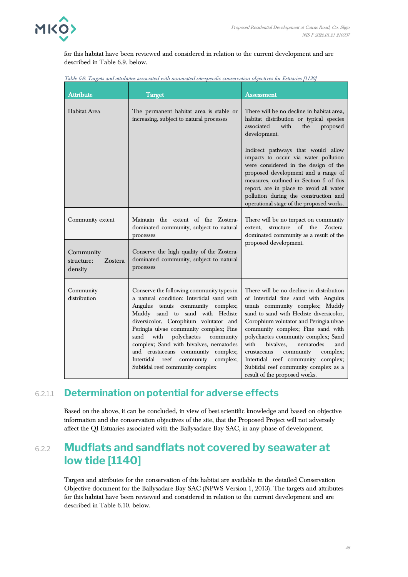

for this habitat have been reviewed and considered in relation to the current development and are described in Table 6.9. below.

| <b>Attribute</b>                                     | <b>Target</b>                                                                                                                                                                                                                                                                                                                                                                                                                                             | Assessment                                                                                                                                                                                                                                                                                                                                                                                                                                                                           |
|------------------------------------------------------|-----------------------------------------------------------------------------------------------------------------------------------------------------------------------------------------------------------------------------------------------------------------------------------------------------------------------------------------------------------------------------------------------------------------------------------------------------------|--------------------------------------------------------------------------------------------------------------------------------------------------------------------------------------------------------------------------------------------------------------------------------------------------------------------------------------------------------------------------------------------------------------------------------------------------------------------------------------|
| Habitat Area                                         | The permanent habitat area is stable or<br>increasing, subject to natural processes                                                                                                                                                                                                                                                                                                                                                                       | There will be no decline in habitat area,<br>habitat distribution or typical species<br>associated<br>with<br>the<br>proposed<br>development.                                                                                                                                                                                                                                                                                                                                        |
|                                                      |                                                                                                                                                                                                                                                                                                                                                                                                                                                           | Indirect pathways that would allow<br>impacts to occur via water pollution<br>were considered in the design of the<br>proposed development and a range of<br>measures, outlined in Section 5 of this<br>report, are in place to avoid all water<br>pollution during the construction and<br>operational stage of the proposed works.                                                                                                                                                 |
| Community extent                                     | Maintain the extent of the Zostera-<br>dominated community, subject to natural<br>processes                                                                                                                                                                                                                                                                                                                                                               | There will be no impact on community<br>$\alpha$<br>structure<br>the<br>Zostera-<br>extent.<br>dominated community as a result of the                                                                                                                                                                                                                                                                                                                                                |
| Community<br><b>Zostera</b><br>structure:<br>density | Conserve the high quality of the Zostera-<br>dominated community, subject to natural<br>processes                                                                                                                                                                                                                                                                                                                                                         | proposed development.                                                                                                                                                                                                                                                                                                                                                                                                                                                                |
| Community<br>distribution                            | Conserve the following community types in<br>a natural condition: Intertidal sand with<br>Angulus tenuis community complex;<br>Muddy sand to sand with Hediste<br>diversicolor, Corophium volutator and<br>Peringia ulvae community complex; Fine<br>polychaetes<br>with<br>sand<br>community<br>complex; Sand with bivalves, nematodes<br>and crustaceans community complex;<br>community complex;<br>Intertidal reef<br>Subtidal reef community complex | There will be no decline in distribution<br>of Intertidal fine sand with Angulus<br>tenuis community complex; Muddy<br>sand to sand with Hediste diversicolor,<br>Corophium volutator and Peringia ulvae<br>community complex; Fine sand with<br>polychaetes community complex; Sand<br>with<br>nematodes<br>bivalves.<br>and<br>community<br>crustaceans<br>complex;<br>Intertidal reef community complex;<br>Subtidal reef community complex as a<br>result of the proposed works. |

#### 6.2.1.1 **Determination on potential for adverse effects**

Based on the above, it can be concluded, in view of best scientific knowledge and based on objective information and the conservation objectives of the site, that the Proposed Project will not adversely affect the QI Estuaries associated with the Ballysadare Bay SAC, in any phase of development.

## 6.2.2 **Mudflats and sandflats not covered by seawater at low tide [1140]**

Targets and attributes for the conservation of this habitat are available in the detailed Conservation Objective document for the Ballysadare Bay SAC (NPWS Version 1, 2013). The targets and attributes for this habitat have been reviewed and considered in relation to the current development and are described in Table 6.10. below.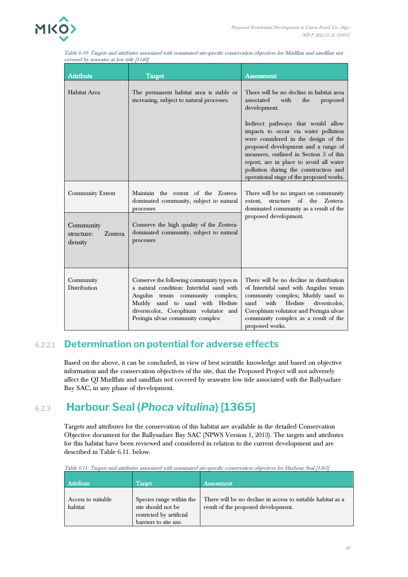

| orcica <i>by scamatel at 10<sup>11</sup></i> ade<br><b>Attribute</b> | Target                                                                                                                                                                                                                                      | Assessment                                                                                                                                                                                                                                                                                                                           |
|----------------------------------------------------------------------|---------------------------------------------------------------------------------------------------------------------------------------------------------------------------------------------------------------------------------------------|--------------------------------------------------------------------------------------------------------------------------------------------------------------------------------------------------------------------------------------------------------------------------------------------------------------------------------------|
| Habitat Area                                                         | The permanent habitat area is stable or<br>increasing, subject to natural processes.                                                                                                                                                        | There will be no decline in habitat area<br>associated<br>with<br>the<br>proposed<br>development.                                                                                                                                                                                                                                    |
|                                                                      |                                                                                                                                                                                                                                             | Indirect pathways that would allow<br>impacts to occur via water pollution<br>were considered in the design of the<br>proposed development and a range of<br>measures, outlined in Section 5 of this<br>report, are in place to avoid all water<br>pollution during the construction and<br>operational stage of the proposed works. |
| <b>Community Extent</b><br>Community                                 | Maintain the extent of the Zostera-<br>dominated community, subject to natural<br>processes<br>Conserve the high quality of the Zostera-                                                                                                    | There will be no impact on community<br>of<br>extent, structure<br>the Zostera-<br>dominated community as a result of the<br>proposed development.                                                                                                                                                                                   |
| structure:<br>Zostera<br>density                                     | dominated community, subject to natural<br>processes                                                                                                                                                                                        |                                                                                                                                                                                                                                                                                                                                      |
| Community<br>Distribution                                            | Conserve the following community types in<br>a natural condition: Intertidal sand with<br>Angulus tenuis community complex;<br>Muddy sand to sand with Hediste<br>diversicolor, Corophium volutator and<br>Peringia ulvae community complex | There will be no decline in distribution<br>of Intertidal sand with Angulus tenuis<br>community complex; Muddy sand to<br>sand<br>with Hediste<br>diversicolor,<br>Corophium volutator and Peringia ulvae<br>community complex as a result of the<br>proposed works.                                                                 |

Table 6-10: Targets and attributes associated with nominated site-specific conservation objectives for Mudflats and sandflats not  $\alpha$  overed by seawater at low tide [1140]

### 6.2.2.1 **Determination on potential for adverse effects**

Based on the above, it can be concluded, in view of best scientific knowledge and based on objective information and the conservation objectives of the site, that the Proposed Project will not adversely affect the QI Mudflats and sandflats not covered by seawater low tide associated with the Ballysadare Bay SAC, in any phase of development.

# 6.2.3 **Harbour Seal (***Phoca vitulina***) [1365]**

Targets and attributes for the conservation of this habitat are available in the detailed Conservation Objective document for the Ballysadare Bay SAC (NPWS Version 1, 2013). The targets and attributes for this habitat have been reviewed and considered in relation to the current development and are described in Table 6.11. below.

| <b>Attribute</b>              | $\rm Target$                                                                                        | <b>Assessment</b>                                                                                  |
|-------------------------------|-----------------------------------------------------------------------------------------------------|----------------------------------------------------------------------------------------------------|
| Access to suitable<br>habitat | Species range within the<br>site should not be<br>restricted by artificial<br>barriers to site use. | There will be no decline in access to suitable habitat as a<br>result of the proposed development. |

Table 6-11: Targets and attributes associated with nominated site-specific conservation objectives for Harbour Seal [1365]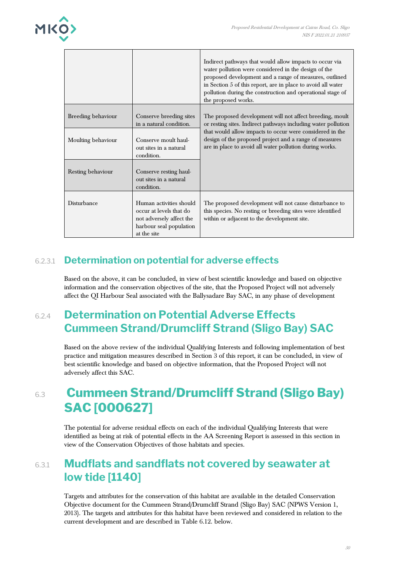

|                    |                                                                                                                          | Indirect pathways that would allow impacts to occur via<br>water pollution were considered in the design of the<br>proposed development and a range of measures, outlined<br>in Section 5 of this report, are in place to avoid all water<br>pollution during the construction and operational stage of<br>the proposed works. |
|--------------------|--------------------------------------------------------------------------------------------------------------------------|--------------------------------------------------------------------------------------------------------------------------------------------------------------------------------------------------------------------------------------------------------------------------------------------------------------------------------|
| Breeding behaviour | Conserve breeding sites<br>in a natural condition.                                                                       | The proposed development will not affect breeding, moult<br>or resting sites. Indirect pathways including water pollution                                                                                                                                                                                                      |
| Moulting behaviour | Conserve moult haul-<br>out sites in a natural<br>condition.                                                             | that would allow impacts to occur were considered in the<br>design of the proposed project and a range of measures<br>are in place to avoid all water pollution during works.                                                                                                                                                  |
| Resting behaviour  | Conserve resting haul-<br>out sites in a natural<br>condition.                                                           |                                                                                                                                                                                                                                                                                                                                |
| Disturbance        | Human activities should<br>occur at levels that do<br>not adversely affect the<br>harbour seal population<br>at the site | The proposed development will not cause disturbance to<br>this species. No resting or breeding sites were identified<br>within or adjacent to the development site.                                                                                                                                                            |

## 6.2.3.1 **Determination on potential for adverse effects**

Based on the above, it can be concluded, in view of best scientific knowledge and based on objective information and the conservation objectives of the site, that the Proposed Project will not adversely affect the QI Harbour Seal associated with the Ballysadare Bay SAC, in any phase of development

## 6.2.4 **Determination on Potential Adverse Effects Cummeen Strand/Drumcliff Strand (Sligo Bay) SAC**

Based on the above review of the individual Qualifying Interests and following implementation of best practice and mitigation measures described in Section 3 of this report, it can be concluded, in view of best scientific knowledge and based on objective information, that the Proposed Project will not adversely affect this SAC.

# 6.3 **Cummeen Strand/Drumcliff Strand (Sligo Bay) SAC [000627]**

The potential for adverse residual effects on each of the individual Qualifying Interests that were identified as being at risk of potential effects in the AA Screening Report is assessed in this section in view of the Conservation Objectives of those habitats and species.

## 6.3.1 **Mudflats and sandflats not covered by seawater at low tide [1140]**

Targets and attributes for the conservation of this habitat are available in the detailed Conservation Objective document for the Cummeen Strand/Drumcliff Strand (Sligo Bay) SAC (NPWS Version 1, 2013). The targets and attributes for this habitat have been reviewed and considered in relation to the current development and are described in Table 6.12. below.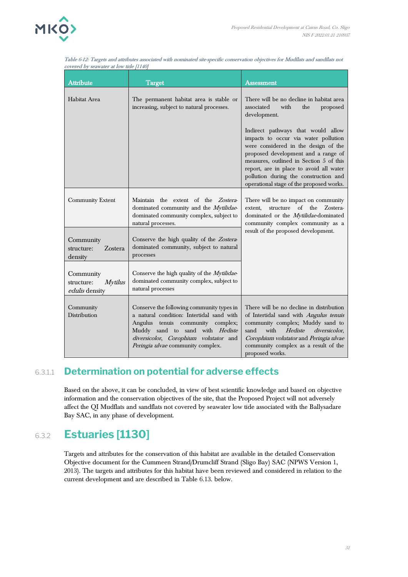

| <b>Attribute</b>                                     | <b>Target</b>                                                                                                                                                                                                                                   | <b>Assessment</b>                                                                                                                                                                                                                                                                                                                    |
|------------------------------------------------------|-------------------------------------------------------------------------------------------------------------------------------------------------------------------------------------------------------------------------------------------------|--------------------------------------------------------------------------------------------------------------------------------------------------------------------------------------------------------------------------------------------------------------------------------------------------------------------------------------|
| <b>Habitat Area</b>                                  | The permanent habitat area is stable or<br>increasing, subject to natural processes.                                                                                                                                                            | There will be no decline in habitat area<br>associated<br>with<br>the<br>proposed<br>development.                                                                                                                                                                                                                                    |
|                                                      |                                                                                                                                                                                                                                                 | Indirect pathways that would allow<br>impacts to occur via water pollution<br>were considered in the design of the<br>proposed development and a range of<br>measures, outlined in Section 5 of this<br>report, are in place to avoid all water<br>pollution during the construction and<br>operational stage of the proposed works. |
| Community Extent                                     | Maintain the extent of the Zostera-<br>dominated community and the Mytilidae-<br>dominated community complex, subject to<br>natural processes.                                                                                                  | There will be no impact on community<br>$\alpha$ f<br>the<br>structure<br>Zostera-<br>extent.<br>dominated or the <i>Mytilidae</i> -dominated<br>community complex community as a                                                                                                                                                    |
| Community<br>structure:<br>Zostera<br>density        | Conserve the high quality of the Zostera-<br>dominated community, subject to natural<br>processes                                                                                                                                               | result of the proposed development.                                                                                                                                                                                                                                                                                                  |
| Community<br>structure:<br>Mytilus<br>edulis density | Conserve the high quality of the <i>Mytilidae</i> -<br>dominated community complex, subject to<br>natural processes                                                                                                                             |                                                                                                                                                                                                                                                                                                                                      |
| Community<br>Distribution                            | Conserve the following community types in<br>a natural condition: Intertidal sand with<br>Angulus tenuis<br>community complex;<br>Muddy sand to sand with Hediste<br>diversicolor, Corophium volutator and<br>Peringia ulvae community complex. | There will be no decline in distribution<br>of Intertidal sand with Angulus tenuis<br>community complex; Muddy sand to<br>sand<br>with<br>Hediste<br>diversicolor,<br>Corophium volutator and Peringia ulvae<br>community complex as a result of the<br>proposed works.                                                              |

Table 6-12: Targets and attributes associated with nominated site-specific conservation objectives for Mudflats and sandflats not covered by seawater at low tide [1140]

#### 6.3.1.1 **Determination on potential for adverse effects**

Based on the above, it can be concluded, in view of best scientific knowledge and based on objective information and the conservation objectives of the site, that the Proposed Project will not adversely affect the QI Mudflats and sandflats not covered by seawater low tide associated with the Ballysadare Bay SAC, in any phase of development.

## 6.3.2 **Estuaries [1130]**

Targets and attributes for the conservation of this habitat are available in the detailed Conservation Objective document for the Cummeen Strand/Drumcliff Strand (Sligo Bay) SAC (NPWS Version 1, 2013). The targets and attributes for this habitat have been reviewed and considered in relation to the current development and are described in Table 6.13. below.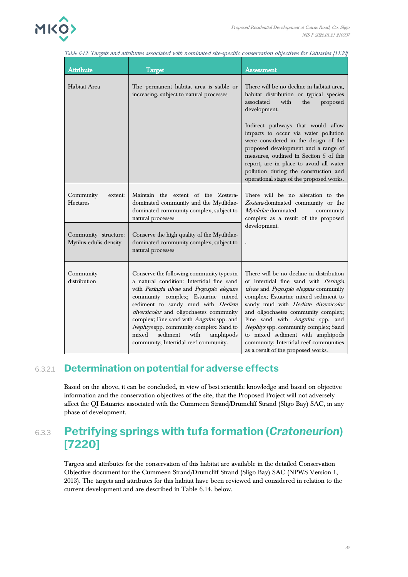| <b>Attribute</b>                               | Target                                                                                                                                                                                                                                                                                                                                                                                                                              | Assessment                                                                                                                                                                                                                                                                                                                                                                                                                                     |
|------------------------------------------------|-------------------------------------------------------------------------------------------------------------------------------------------------------------------------------------------------------------------------------------------------------------------------------------------------------------------------------------------------------------------------------------------------------------------------------------|------------------------------------------------------------------------------------------------------------------------------------------------------------------------------------------------------------------------------------------------------------------------------------------------------------------------------------------------------------------------------------------------------------------------------------------------|
| Habitat Area                                   | The permanent habitat area is stable or<br>increasing, subject to natural processes                                                                                                                                                                                                                                                                                                                                                 | There will be no decline in habitat area,<br>habitat distribution or typical species<br>associated<br>with<br>the<br>proposed<br>development.                                                                                                                                                                                                                                                                                                  |
|                                                |                                                                                                                                                                                                                                                                                                                                                                                                                                     | Indirect pathways that would allow<br>impacts to occur via water pollution<br>were considered in the design of the<br>proposed development and a range of<br>measures, outlined in Section 5 of this<br>report, are in place to avoid all water<br>pollution during the construction and<br>operational stage of the proposed works.                                                                                                           |
| Community<br>extent:<br><b>Hectares</b>        | Maintain the extent of the Zostera-<br>dominated community and the Mytilidae-<br>dominated community complex, subject to<br>natural processes                                                                                                                                                                                                                                                                                       | There will be no alteration to the<br>Zostera-dominated community or the<br>Mytilidae-dominated<br>community<br>complex as a result of the proposed                                                                                                                                                                                                                                                                                            |
| Community structure:<br>Mytilus edulis density | Conserve the high quality of the Mytilidae-<br>dominated community complex, subject to<br>natural processes                                                                                                                                                                                                                                                                                                                         | development.                                                                                                                                                                                                                                                                                                                                                                                                                                   |
| Community<br>distribution                      | Conserve the following community types in<br>a natural condition: Intertidal fine sand<br>with Peringia ulvae and Pygospio elegans<br>community complex; Estuarine mixed<br>sediment to sandy mud with Hediste<br>diversicolor and oligochaetes community<br>complex; Fine sand with Angulus spp. and<br>Nephtys spp. community complex; Sand to<br>sediment<br>mixed<br>with<br>amphipods<br>community; Intertidal reef community. | There will be no decline in distribution<br>of Intertidal fine sand with Peringia<br>ulvae and Pygospio elegans community<br>complex; Estuarine mixed sediment to<br>sandy mud with Hediste diversicolor<br>and oligochaetes community complex;<br>Fine sand with Angulus spp. and<br>Nephtys spp. community complex; Sand<br>to mixed sediment with amphipods<br>community; Intertidal reef communities<br>as a result of the proposed works. |

#### 6.3.2.1 **Determination on potential for adverse effects**

Based on the above, it can be concluded, in view of best scientific knowledge and based on objective information and the conservation objectives of the site, that the Proposed Project will not adversely affect the QI Estuaries associated with the Cummeen Strand/Drumcliff Strand (Sligo Bay) SAC, in any phase of development.

## 6.3.3 **Petrifying springs with tufa formation (***Cratoneurion***) [7220]**

Targets and attributes for the conservation of this habitat are available in the detailed Conservation Objective document for the Cummeen Strand/Drumcliff Strand (Sligo Bay) SAC (NPWS Version 1, 2013). The targets and attributes for this habitat have been reviewed and considered in relation to the current development and are described in Table 6.14. below.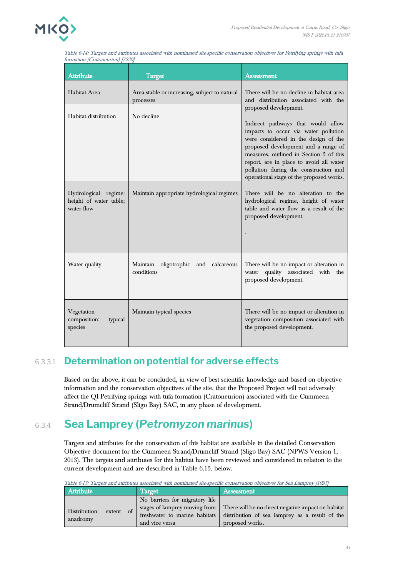

| <b>Attribute</b>                                             | <b>Target</b>                                              | <b>Assessment</b>                                                                                                                                                                                                                                                                                                                                             |
|--------------------------------------------------------------|------------------------------------------------------------|---------------------------------------------------------------------------------------------------------------------------------------------------------------------------------------------------------------------------------------------------------------------------------------------------------------------------------------------------------------|
| Habitat Area                                                 | Area stable or increasing, subject to natural<br>processes | There will be no decline in habitat area<br>and distribution associated with the                                                                                                                                                                                                                                                                              |
| Habitat distribution                                         | No decline                                                 | proposed development.<br>Indirect pathways that would allow<br>impacts to occur via water pollution<br>were considered in the design of the<br>proposed development and a range of<br>measures, outlined in Section 5 of this<br>report, are in place to avoid all water<br>pollution during the construction and<br>operational stage of the proposed works. |
| Hydrological regime:<br>height of water table;<br>water flow | Maintain appropriate hydrological regimes                  | There will be no alteration to the<br>hydrological regime, height of water<br>table and water flow as a result of the<br>proposed development.                                                                                                                                                                                                                |
| Water quality                                                | Maintain<br>oligotrophic and calcareous<br>conditions      | There will be no impact or alteration in<br>water quality associated with the<br>proposed development.                                                                                                                                                                                                                                                        |
| Vegetation<br>composition:<br>typical<br>species             | Maintain typical species                                   | There will be no impact or alteration in<br>vegetation composition associated with<br>the proposed development.                                                                                                                                                                                                                                               |

Table 6-14: Targets and attributes associated with nominated site-specific conservation objectives for Petrifying springs with tufa formation (Cratoneurion) [7220]

## 6.3.3.1 **Determination on potential for adverse effects**

Based on the above, it can be concluded, in view of best scientific knowledge and based on objective information and the conservation objectives of the site, that the Proposed Project will not adversely affect the QI Petrifying springs with tufa formation (Cratoneurion) associated with the Cummeen Strand/Drumcliff Strand (Sligo Bay) SAC, in any phase of development.

# 6.3.4 **Sea Lamprey (***Petromyzon marinus***)**

Targets and attributes for the conservation of this habitat are available in the detailed Conservation Objective document for the Cummeen Strand/Drumcliff Strand (Sligo Bay) SAC (NPWS Version 1, 2013). The targets and attributes for this habitat have been reviewed and considered in relation to the current development and are described in Table 6.15. below.

| Table 6-15: Targets and attributes associated with nominated site-specific conservation objectives for Sea Lamprey [1095] |                                                                                                                    |                                                                                                                         |
|---------------------------------------------------------------------------------------------------------------------------|--------------------------------------------------------------------------------------------------------------------|-------------------------------------------------------------------------------------------------------------------------|
| Attribute                                                                                                                 | <b>Target</b>                                                                                                      | Assessment                                                                                                              |
| Distribution:<br>extent of<br>anadromy                                                                                    | No barriers for migratory life<br>stages of lamprey moving from<br>freshwater to marine habitats<br>and vice versa | There will be no direct negative impact on habitat<br>distribution of sea lamprey as a result of the<br>proposed works. |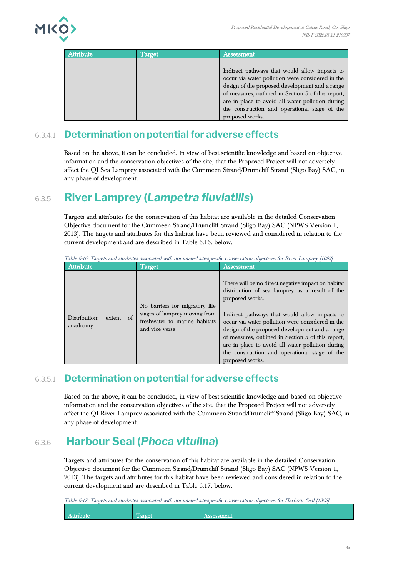

| Attribute | Target | Assessment                                                                                                                                                                                                                                                                                                                        |
|-----------|--------|-----------------------------------------------------------------------------------------------------------------------------------------------------------------------------------------------------------------------------------------------------------------------------------------------------------------------------------|
|           |        | Indirect pathways that would allow impacts to<br>occur via water pollution were considered in the<br>design of the proposed development and a range<br>of measures, outlined in Section 5 of this report,<br>are in place to avoid all water pollution during<br>the construction and operational stage of the<br>proposed works. |

### 6.3.4.1 **Determination on potential for adverse effects**

Based on the above, it can be concluded, in view of best scientific knowledge and based on objective information and the conservation objectives of the site, that the Proposed Project will not adversely affect the QI Sea Lamprey associated with the Cummeen Strand/Drumcliff Strand (Sligo Bay) SAC, in any phase of development.

## 6.3.5 **River Lamprey (***Lampetra fluviatilis***)**

Targets and attributes for the conservation of this habitat are available in the detailed Conservation Objective document for the Cummeen Strand/Drumcliff Strand (Sligo Bay) SAC (NPWS Version 1, 2013). The targets and attributes for this habitat have been reviewed and considered in relation to the current development and are described in Table 6.16. below.

| <b>Attribute</b>                          | Target                                                                                                             | Assessment                                                                                                                                                                                                                                                                                                                                                                                                                                                   |
|-------------------------------------------|--------------------------------------------------------------------------------------------------------------------|--------------------------------------------------------------------------------------------------------------------------------------------------------------------------------------------------------------------------------------------------------------------------------------------------------------------------------------------------------------------------------------------------------------------------------------------------------------|
| Distribution:<br>of<br>extent<br>anadromy | No barriers for migratory life<br>stages of lamprey moving from<br>freshwater to marine habitats<br>and vice versa | There will be no direct negative impact on habitat<br>distribution of sea lamprey as a result of the<br>proposed works.<br>Indirect pathways that would allow impacts to<br>occur via water pollution were considered in the<br>design of the proposed development and a range<br>of measures, outlined in Section 5 of this report,<br>are in place to avoid all water pollution during<br>the construction and operational stage of the<br>proposed works. |

Table 6-16: Targets and attributes associated with nominated site-specific conservation objectives for River Lamprey [1099]

### 6.3.5.1 **Determination on potential for adverse effects**

Based on the above, it can be concluded, in view of best scientific knowledge and based on objective information and the conservation objectives of the site, that the Proposed Project will not adversely affect the QI River Lamprey associated with the Cummeen Strand/Drumcliff Strand (Sligo Bay) SAC, in any phase of development.

# 6.3.6 **Harbour Seal (***Phoca vitulina***)**

Targets and attributes for the conservation of this habitat are available in the detailed Conservation Objective document for the Cummeen Strand/Drumcliff Strand (Sligo Bay) SAC (NPWS Version 1, 2013). The targets and attributes for this habitat have been reviewed and considered in relation to the current development and are described in Table 6.17. below.

Table 6-17: Targets and attributes associated with nominated site-specific conservation objectives for Harbour Seal [1365]

| $\overline{a}$ |           |         |            |
|----------------|-----------|---------|------------|
|                | Attribute | 1 arget | Assessment |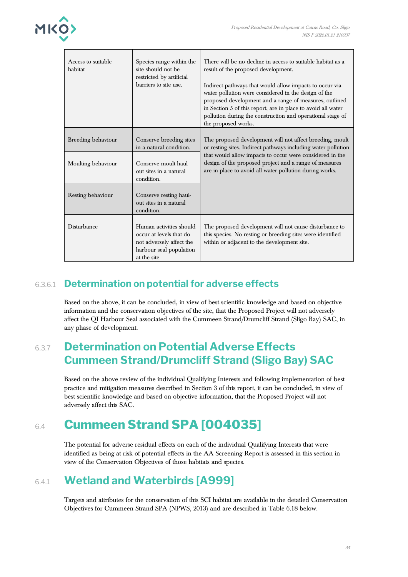

| Access to suitable<br>habitat | Species range within the<br>site should not be<br>restricted by artificial<br>barriers to site use.                      | There will be no decline in access to suitable habitat as a<br>result of the proposed development.<br>Indirect pathways that would allow impacts to occur via<br>water pollution were considered in the design of the<br>proposed development and a range of measures, outlined<br>in Section 5 of this report, are in place to avoid all water<br>pollution during the construction and operational stage of<br>the proposed works. |
|-------------------------------|--------------------------------------------------------------------------------------------------------------------------|--------------------------------------------------------------------------------------------------------------------------------------------------------------------------------------------------------------------------------------------------------------------------------------------------------------------------------------------------------------------------------------------------------------------------------------|
| Breeding behaviour            | Conserve breeding sites<br>in a natural condition.                                                                       | The proposed development will not affect breeding, moult<br>or resting sites. Indirect pathways including water pollution<br>that would allow impacts to occur were considered in the                                                                                                                                                                                                                                                |
| Moulting behaviour            | Conserve moult haul-<br>out sites in a natural<br>condition.                                                             | design of the proposed project and a range of measures<br>are in place to avoid all water pollution during works.                                                                                                                                                                                                                                                                                                                    |
| Resting behaviour             | Conserve resting haul-<br>out sites in a natural<br>condition.                                                           |                                                                                                                                                                                                                                                                                                                                                                                                                                      |
| Disturbance                   | Human activities should<br>occur at levels that do<br>not adversely affect the<br>harbour seal population<br>at the site | The proposed development will not cause disturbance to<br>this species. No resting or breeding sites were identified<br>within or adjacent to the development site.                                                                                                                                                                                                                                                                  |

### 6.3.6.1 **Determination on potential for adverse effects**

Based on the above, it can be concluded, in view of best scientific knowledge and based on objective information and the conservation objectives of the site, that the Proposed Project will not adversely affect the QI Harbour Seal associated with the Cummeen Strand/Drumcliff Strand (Sligo Bay) SAC, in any phase of development.

## 6.3.7 **Determination on Potential Adverse Effects Cummeen Strand/Drumcliff Strand (Sligo Bay) SAC**

Based on the above review of the individual Qualifying Interests and following implementation of best practice and mitigation measures described in Section 3 of this report, it can be concluded, in view of best scientific knowledge and based on objective information, that the Proposed Project will not adversely affect this SAC.

# 6.4 **Cummeen Strand SPA [004035]**

The potential for adverse residual effects on each of the individual Qualifying Interests that were identified as being at risk of potential effects in the AA Screening Report is assessed in this section in view of the Conservation Objectives of those habitats and species.

# 6.4.1 **Wetland and Waterbirds [A999]**

Targets and attributes for the conservation of this SCI habitat are available in the detailed Conservation Objectives for Cummeen Strand SPA (NPWS, 2013) and are described in Table 6.18 below.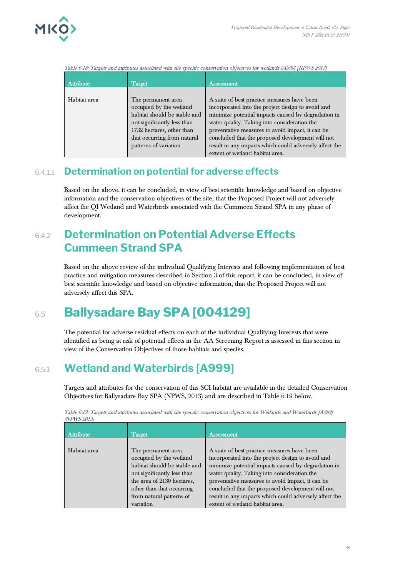

Table 6-18: Targets and attributes associated with site specific conservation objectives for wetlands [A999] (NPWS 2013)

| <b>Attribute</b> | <b>Target</b>                | Assessment                                             |
|------------------|------------------------------|--------------------------------------------------------|
|                  |                              |                                                        |
| Habitat area     | The permanent area           | A suite of best practice measures have been            |
|                  | occupied by the wetland      | incorporated into the project design to avoid and      |
|                  | habitat should be stable and | minimize potential impacts caused by degradation in    |
|                  | not significantly less than  | water quality. Taking into consideration the           |
|                  | 1732 hectares, other than    | preventative measures to avoid impact, it can be       |
|                  | that occurring from natural  | concluded that the proposed development will not       |
|                  | patterns of variation        | result in any impacts which could adversely affect the |
|                  |                              | extent of wetland habitat area.                        |

#### 6.4.1.1 **Determination on potential for adverse effects**

Based on the above, it can be concluded, in view of best scientific knowledge and based on objective information and the conservation objectives of the site, that the Proposed Project will not adversely affect the QI Wetland and Waterbirds associated with the Cummeen Strand SPA in any phase of development.

## 6.4.2 **Determination on Potential Adverse Effects Cummeen Strand SPA**

Based on the above review of the individual Qualifying Interests and following implementation of best practice and mitigation measures described in Section 3 of this report, it can be concluded, in view of best scientific knowledge and based on objective information, that the Proposed Project will not adversely affect this SPA.

# 6.5 **Ballysadare Bay SPA [004129]**

The potential for adverse residual effects on each of the individual Qualifying Interests that were identified as being at risk of potential effects in the AA Screening Report is assessed in this section in view of the Conservation Objectives of those habitats and species.

# 6.5.1 **Wetland and Waterbirds [A999]**

Targets and attributes for the conservation of this SCI habitat are available in the detailed Conservation Objectives for Ballysadare Bay SPA (NPWS, 2013) and are described in Table 6.19 below.

| Attribute    | Target                                                                                                                                                                                              | Assessment                                                                                                                                                                                                                                                                                                                                                                |
|--------------|-----------------------------------------------------------------------------------------------------------------------------------------------------------------------------------------------------|---------------------------------------------------------------------------------------------------------------------------------------------------------------------------------------------------------------------------------------------------------------------------------------------------------------------------------------------------------------------------|
| Habitat area | The permanent area<br>occupied by the wetland<br>habitat should be stable and<br>not significantly less than<br>the area of 2130 hectares,<br>other than that occurring<br>from natural patterns of | A suite of best practice measures have been<br>incorporated into the project design to avoid and<br>minimize potential impacts caused by degradation in<br>water quality. Taking into consideration the<br>preventative measures to avoid impact, it can be<br>concluded that the proposed development will not<br>result in any impacts which could adversely affect the |
|              | variation                                                                                                                                                                                           | extent of wetland habitat area.                                                                                                                                                                                                                                                                                                                                           |

Table 6-19: Targets and attributes associated with site specific conservation objectives for Wetlands and Waterbirds [A999] (NPWS 2013)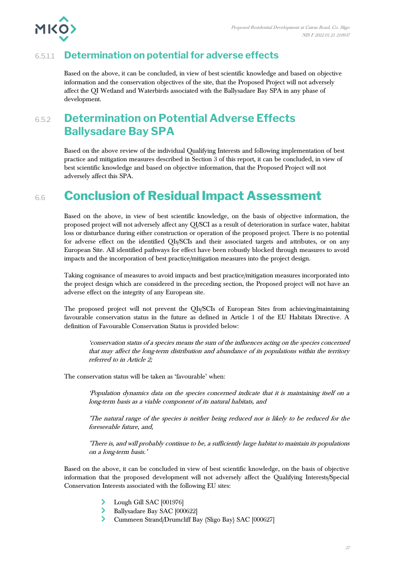

### 6.5.1.1 **Determination on potential for adverse effects**

Based on the above, it can be concluded, in view of best scientific knowledge and based on objective information and the conservation objectives of the site, that the Proposed Project will not adversely affect the QI Wetland and Waterbirds associated with the Ballysadare Bay SPA in any phase of development.

## 6.5.2 **Determination on Potential Adverse Effects Ballysadare Bay SPA**

Based on the above review of the individual Qualifying Interests and following implementation of best practice and mitigation measures described in Section 3 of this report, it can be concluded, in view of best scientific knowledge and based on objective information, that the Proposed Project will not adversely affect this SPA.

# 6.6 **Conclusion of Residual Impact Assessment**

Based on the above, in view of best scientific knowledge, on the basis of objective information, the proposed project will not adversely affect any QI/SCI as a result of deterioration in surface water, habitat loss or disturbance during either construction or operation of the proposed project. There is no potential for adverse effect on the identified QIs/SCIs and their associated targets and attributes, or on any European Site. All identified pathways for effect have been robustly blocked through measures to avoid impacts and the incorporation of best practice/mitigation measures into the project design.

Taking cognisance of measures to avoid impacts and best practice/mitigation measures incorporated into the project design which are considered in the preceding section, the Proposed project will not have an adverse effect on the integrity of any European site.

The proposed project will not prevent the QIs/SCIs of European Sites from achieving/maintaining favourable conservation status in the future as defined in Article 1 of the EU Habitats Directive. A definition of Favourable Conservation Status is provided below:

'conservation status of a species means the sum of the influences acting on the species concerned that may affect the long-term distribution and abundance of its populations within the territory referred to in Article 2;

The conservation status will be taken as 'favourable' when:

'Population dynamics data on the species concerned indicate that it is maintaining itself on a long-term basis as a viable component of its natural habitats, and

'The natural range of the species is neither being reduced nor is likely to be reduced for th<sup>e</sup> foreseeable future, and,

'There is, and will probably continue to be, a sufficiently large habitat to maintain its populations on a long-term basis.'

Based on the above, it can be concluded in view of best scientific knowledge, on the basis of objective information that the proposed development will not adversely affect the Qualifying Interests/Special Conservation Interests associated with the following EU sites:

- Lough Gill SAC [001976]
- $\blacktriangleright$ Ballysadare Bay SAC [000622]
- Cummeen Strand/Drumcliff Bay (Sligo Bay) SAC [000627]